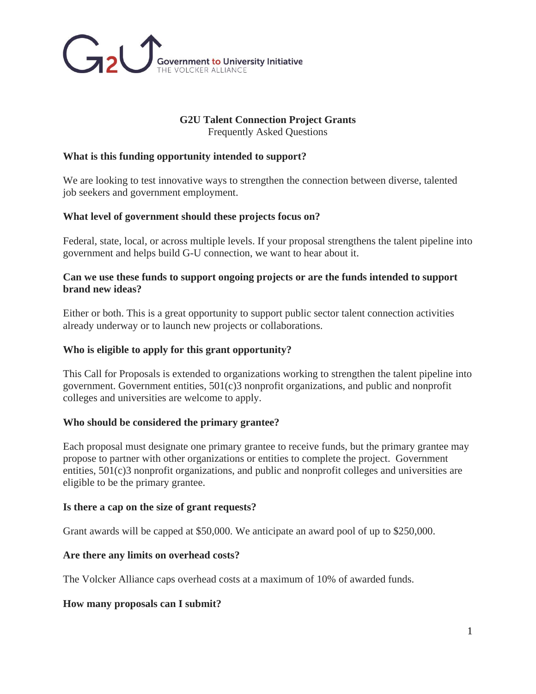

# **G2U Talent Connection Project Grants**

Frequently Asked Questions

## **What is this funding opportunity intended to support?**

We are looking to test innovative ways to strengthen the connection between diverse, talented job seekers and government employment.

## **What level of government should these projects focus on?**

Federal, state, local, or across multiple levels. If your proposal strengthens the talent pipeline into government and helps build G-U connection, we want to hear about it.

## **Can we use these funds to support ongoing projects or are the funds intended to support brand new ideas?**

Either or both. This is a great opportunity to support public sector talent connection activities already underway or to launch new projects or collaborations.

## **Who is eligible to apply for this grant opportunity?**

This Call for Proposals is extended to organizations working to strengthen the talent pipeline into government. Government entities, 501(c)3 nonprofit organizations, and public and nonprofit colleges and universities are welcome to apply.

#### **Who should be considered the primary grantee?**

Each proposal must designate one primary grantee to receive funds, but the primary grantee may propose to partner with other organizations or entities to complete the project. Government entities, 501(c)3 nonprofit organizations, and public and nonprofit colleges and universities are eligible to be the primary grantee.

#### **Is there a cap on the size of grant requests?**

Grant awards will be capped at \$50,000. We anticipate an award pool of up to \$250,000.

#### **Are there any limits on overhead costs?**

The Volcker Alliance caps overhead costs at a maximum of 10% of awarded funds.

#### **How many proposals can I submit?**